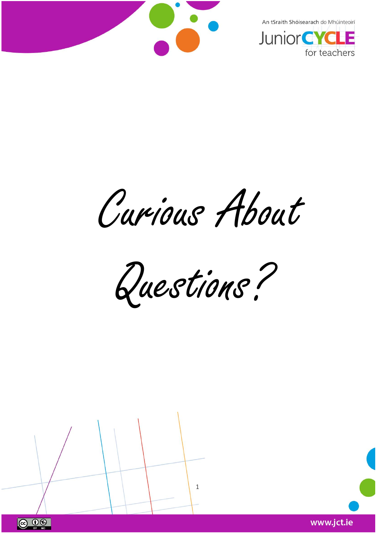



Curious About

Questions?



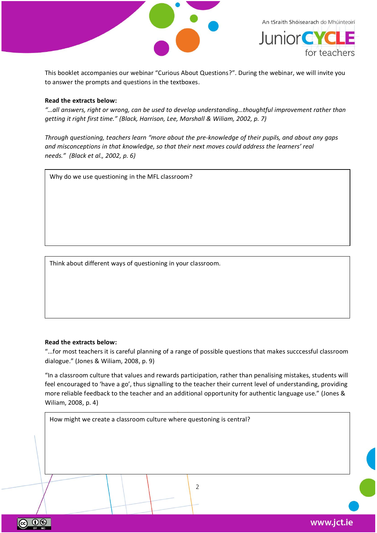



This booklet accompanies our webinar "Curious About Questions?". During the webinar, we will invite you to answer the prompts and questions in the textboxes.

#### **Read the extracts below:**

*"…all answers, right or wrong, can be used to develop understanding…thoughtful improvement rather than getting it right first time." (Black, Harrison, Lee, Marshall & Wiliam, 2002, p. 7)*

*Through questioning, teachers learn "more about the pre-knowledge of their pupils, and about any gaps and misconceptions in that knowledge, so that their next moves could address the learners' real needs." (Black et al., 2002, p. 6)*

Why do we use questioning in the MFL classroom?

Think about different ways of questioning in your classroom.

#### **Read the extracts below:**

"...for most teachers it is careful planning of a range of possible questions that makes succcessful classroom dialogue." (Jones & Wiliam, 2008, p. 9)

"In a classroom culture that values and rewards participation, rather than penalising mistakes, students will feel encouraged to 'have a go', thus signalling to the teacher their current level of understanding, providing more reliable feedback to the teacher and an additional opportunity for authentic language use." (Jones & Wiliam, 2008, p. 4)

2

How might we create a classroom culture where questoning is central?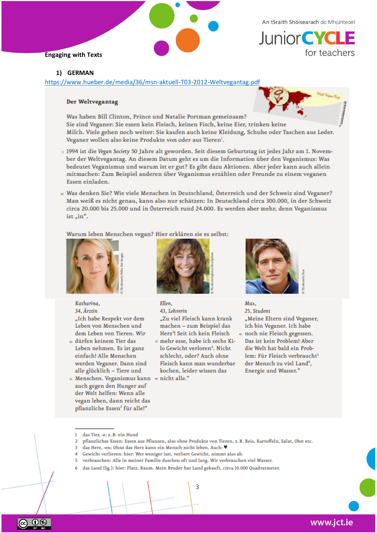



#### 1) GERMAN

https://www.hueber.de/media/36/msn-aktuell-T03-2012-Weltvegantag.pdf

#### Der Weltvegantag

Was haben Bill Clinton, Prince und Natalie Portman gemeinsam? Sie sind Veganer: Sie essen kein Fleisch, keinen Fisch, keine Eier, trinken keine Milch. Viele gehen noch weiter: Sie kaufen auch keine Kleidung, Schuhe oder Taschen aus Leder. Veganer wollen also keine Produkte von oder aus Tieren<sup>1</sup>.

- 5 1994 ist die Vegan Society 50 Jahre alt geworden. Seit diesem Geburtstag ist jedes Jahr am 1. November der Weltvegantag. An diesem Datum geht es um die Information über den Veganismus: Was bedeutet Veganismus und warum ist er gut? Es gibt dazu Aktionen. Aber jeder kann auch allein mitmachen: Zum Beispiel anderen über Veganismus erzählen oder Freunde zu einem veganen Essen einladen.
- 10 Was denken Sie? Wie viele Menschen in Deutschland, Österreich und der Schweiz sind Veganer? Man weiß es nicht genau, kann also nur schätzen: In Deutschland circa 300.000, in der Schweiz circa 20.000 bis 25.000 und in Österreich rund 24.000. Es werden aber mehr, denn Veganismus  $ist$ <sub>"in"</sub>.

Warum leben Menschen vegan? Hier erklären sie es selbst:



Katharina. 34. Ärztin "Ich habe Respekt vor dem Leben von Menschen und dem Leben von Tieren. Wir

- 20 dürfen keinem Tier das Leben nehmen. Es ist ganz einfach! Alle Menschen werden Veganer. Dann sind alle glücklich - Tiere und
- 25 Menschen. Veganismus kann 40 nicht alle." auch gegen den Hunger auf der Welt helfen: Wenn alle vegan leben, dann reicht das pflanzliche Essen<sup>2</sup> für alle!"



 $Fllon$ 43. Lehrerin "Zu viel Fleisch kann krank machen - zum Beispiel das Herz<sup>3</sup>! Seit ich kein Fleisch 35 mehr esse, habe ich sechs Kilo Gewicht verloren<sup>4</sup>. Nicht schlecht, oder? Auch ohne Fleisch kann man wunderbar kochen, leider wissen das



**Max** 25. Student "Meine Eltern sind Veganer, ich bin Veganer. Ich habe 45 noch nie Fleisch gegessen. Das ist kein Problem! Aber die Welt hat bald ein Problem: Für Fleisch verbraucht<sup>5</sup> der Mensch zu viel Land<sup>6</sup>, Energie und Wasser."

3

<sup>1</sup> das Tier, -e: z. B. ein Hund

 $\overline{2}$ pflanzliches Essen: Essen aus Pflanzen, also ohne Produkte von Tieren, z. B. Reis, Kartoffeln, Salat, Obst etc.

das Herz, -en: Ohne das Herz kann ein Mensch nicht leben. Auch: V R

<sup>4</sup> Gewicht verlieren: hier: Wer weniger isst, verliert Gewicht, nimmt also ab.

<sup>5</sup> verbrauchen: Alle in meiner Familie duschen oft und lang. Wir verbrauchen viel Wasser.

das Land (Sg.): hier: Platz, Raum. Mein Bruder hat Land gekauft, circa 10.000 Quadratmeter.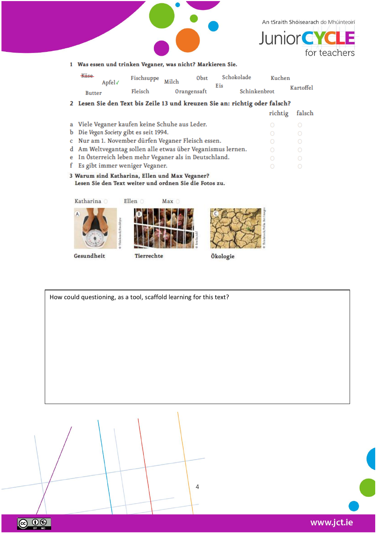



| <del>Käse</del> | Apfel√ | Fischsuppe Milch - | Obst        | Schokolade |              | Kuchen    |  |
|-----------------|--------|--------------------|-------------|------------|--------------|-----------|--|
| <b>Butter</b>   |        | Fleisch            | Orangensaft | Eis        | Schinkenbrot | Kartoffel |  |

2 Lesen Sie den Text bis Zeile 13 und kreuzen Sie an: richtig oder falsch? richtig falsch a Viele Veganer kaufen keine Schuhe aus Leder. b Die Vegan Society gibt es seit 1994. c Nur am 1. November dürfen Veganer Fleisch essen. d Am Weltvegantag sollen alle etwas über Veganismus lernen.

e In Österreich leben mehr Veganer als in Deutschland.

f Es gibt immer weniger Veganer.

3 Warum sind Katharina, Ellen und Max Veganer? Lesen Sie den Text weiter und ordnen Sie die Fotos zu.

Katharina O









 $\bigcirc$ 

 $\circ$ 

Gesundheit

ெ 0

Tierrechte

Ökologie

How could questioning, as a tool, scaffold learning for this text?  $\overline{4}$ 

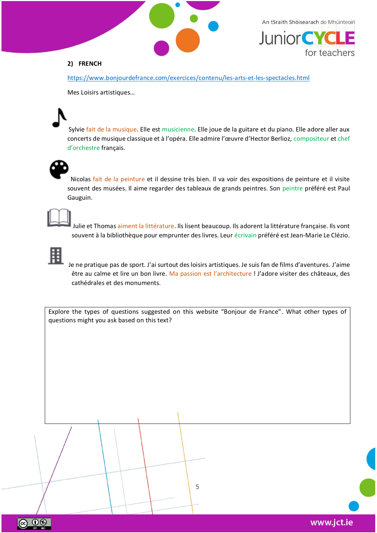



# **2) FRENCH**

<https://www.bonjourdefrance.com/exercices/contenu/les-arts-et-les-spectacles.html>

Mes Loisirs artistiques…

Sylvie fait de la musique. Elle est musicienne. Elle joue de la guitare et du piano. Elle adore aller aux concerts de musique classique et à l'opéra. Elle admire l'œuvre d'Hector Berlioz, compositeur et chef d'orchestre français.



Nicolas fait de la peinture et il dessine très bien. Il va voir des expositions de peinture et il visite souvent des musées. Il aime regarder des tableaux de grands peintres. Son peintre préféré est Paul Gauguin.



Julie et Thomas aiment la littérature. Ils lisent beaucoup. Ils adorent la littérature française. Ils vont souvent à la bibliothèque pour emprunter des livres. Leur écrivain préféré est Jean-Marie Le Clézio.



ெ 0

Je ne pratique pas de sport. J'ai surtout des loisirs artistiques. Je suis fan de films d'aventures. J'aime être au calme et lire un bon livre. Ma passion est l'architecture ! J'adore visiter des châteaux, des cathédrales et des monuments.

Explore the types of questions suggested on this website "Bonjour de France". What other types of questions might you ask based on this text?

5

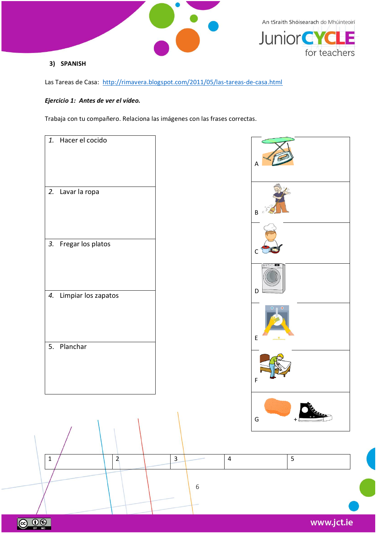



## **3) SPANISH**

Las Tareas de Casa:<http://rimavera.blogspot.com/2011/05/las-tareas-de-casa.html>

# *Ejercicio 1: Antes de ver el vídeo.*

Trabaja con tu compañero. Relaciona las imágenes con las frases correctas.



www.jct.ie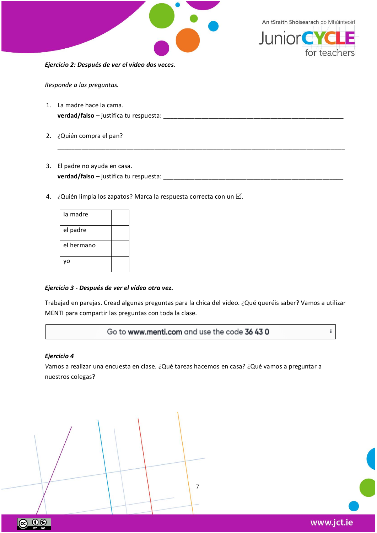



*Responde a las preguntas.* 

1. La madre hace la cama. **verdad/falso** – justifica tu respuesta: \_\_\_\_\_\_\_\_\_\_\_\_\_\_\_\_\_\_\_\_\_\_\_\_\_\_\_\_\_\_\_\_\_\_\_\_\_\_\_\_\_\_\_\_\_\_\_\_\_\_\_\_

\_\_\_\_\_\_\_\_\_\_\_\_\_\_\_\_\_\_\_\_\_\_\_\_\_\_\_\_\_\_\_\_\_\_\_\_\_\_\_\_\_\_\_\_\_\_\_\_\_\_\_\_\_\_\_\_\_\_\_\_\_\_\_\_\_\_\_\_\_\_\_\_\_\_\_\_\_\_\_\_\_\_\_

- 2. ¿Quién compra el pan?
- 3. El padre no ayuda en casa. **verdad/falso** – justifica tu respuesta: \_\_\_\_\_\_\_\_\_\_\_\_\_\_\_\_\_\_\_\_\_\_\_\_\_\_\_\_\_\_\_\_\_\_\_\_\_\_\_\_\_\_\_\_\_\_\_\_\_\_\_\_
- 4. ¿Quién limpia los zapatos? Marca la respuesta correcta con un  $\boxtimes$ .

| la madre   |  |
|------------|--|
| el padre   |  |
| el hermano |  |
|            |  |

#### *Ejercicio 3 - Después de ver el vídeo otra vez.*

Trabajad en parejas. Cread algunas preguntas para la chica del vídeo. ¿Qué queréis saber? Vamos a utilizar MENTI para compartir las preguntas con toda la clase.

Go to www.menti.com and use the code 36 43 0

#### *Ejercicio 4*

*V*amos a realizar una encuesta en clase. ¿Qué tareas hacemos en casa? ¿Qué vamos a preguntar a nuestros colegas?

7

i.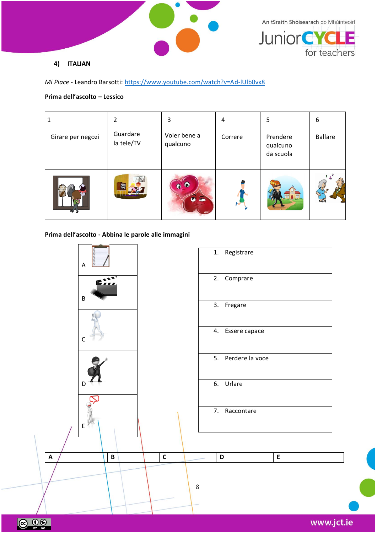



## **4) ITALIAN**

*Mi Piace* - Leandro Barsotti:<https://www.youtube.com/watch?v=Ad-lUlb0vx8>

# **Prima dell'ascolto – Lessico**

|                   | 2                      | 3                        | 4       | 5                                 | 6              |
|-------------------|------------------------|--------------------------|---------|-----------------------------------|----------------|
| Girare per negozi | Guardare<br>la tele/TV | Voler bene a<br>qualcuno | Correre | Prendere<br>qualcuno<br>da scuola | <b>Ballare</b> |
|                   |                        | $\overline{r}$           |         |                                   |                |

# **Prima dell'ascolto - Abbina le parole alle immagini**

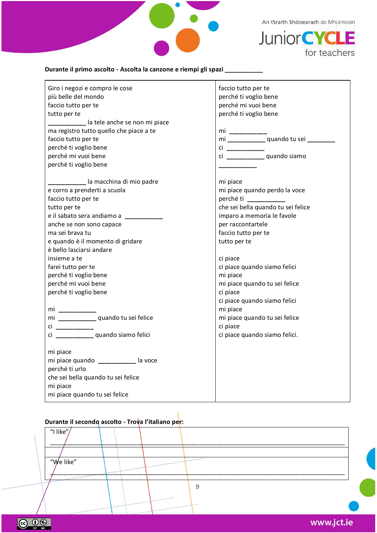



# **Durante il primo ascolto - Ascolta la canzone e riempi gli spazi \_\_\_\_\_\_\_\_\_\_\_**

| Giro i negozi e compro le cose             | faccio tutto per te                     |
|--------------------------------------------|-----------------------------------------|
| più belle del mondo                        | perché ti voglio bene                   |
| faccio tutto per te                        | perché mi vuoi bene                     |
| tutto per te                               | perché ti voglio bene                   |
| ____________ la tele anche se non mi piace |                                         |
| ma registro tutto quello che piace a te    | mi _________                            |
| faccio tutto per te                        | mi _____________quando tu sei _________ |
| perché ti voglio bene                      | $ci$ __________                         |
| perché mi vuoi bene                        | ci ______________ quando siamo          |
| perché ti voglio bene                      |                                         |
| ___________ la macchina di mio padre       | mi piace                                |
| e corro a prenderti a scuola               | mi piace quando perdo la voce           |
| faccio tutto per te                        | perché ti                               |
| tutto per te                               | che sei bella quando tu sei felice      |
| e il sabato sera andiamo a                 | imparo a memoria le favole              |
| anche se non sono capace                   | per raccontartele                       |
| ma sei brava tu                            | faccio tutto per te                     |
| e quando è il momento di gridare           | tutto per te                            |
| è bello lasciarsi andare                   |                                         |
| insieme a te                               | ci piace                                |
| farei tutto per te                         | ci piace quando siamo felici            |
| perché ti voglio bene                      | mi piace                                |
| perché mi vuoi bene                        | mi piace quando tu sei felice           |
| perché ti voglio bene                      | ci piace                                |
|                                            | ci piace quando siamo felici            |
|                                            | mi piace                                |
|                                            | mi piace quando tu sei felice           |
| ci __________                              | ci piace                                |
| ci ______________ quando siamo felici      | ci piace quando siamo felici.           |
| mi piace                                   |                                         |
| mi piace quando ___________ la voce        |                                         |
| perché ti urlo                             |                                         |
| che sei bella quando tu sei felice         |                                         |
| mi piace                                   |                                         |
| mi piace quando tu sei felice              |                                         |

# **Durante il secondo ascolto - Trova l'italiano per:**

9 "I like"  $\frac{1}{2}$  ,  $\frac{1}{2}$  ,  $\frac{1}{2}$  ,  $\frac{1}{2}$  ,  $\frac{1}{2}$  ,  $\frac{1}{2}$  ,  $\frac{1}{2}$  ,  $\frac{1}{2}$  ,  $\frac{1}{2}$  ,  $\frac{1}{2}$  ,  $\frac{1}{2}$  ,  $\frac{1}{2}$  ,  $\frac{1}{2}$  ,  $\frac{1}{2}$  ,  $\frac{1}{2}$  ,  $\frac{1}{2}$  ,  $\frac{1}{2}$  ,  $\frac{1}{2}$  ,  $\frac{1$ "We like"  $\frac{1}{2}$  , and the set of the set of the set of the set of the set of the set of the set of the set of the set of the set of the set of the set of the set of the set of the set of the set of the set of the set of the set

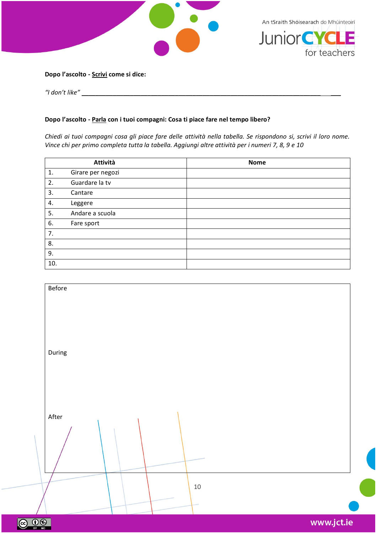



#### **Dopo l'ascolto - Scrivi come si dice:**

*"I don't like"* \_\_\_\_\_\_\_\_\_\_\_\_\_\_\_\_\_\_\_\_\_\_\_\_\_\_\_\_\_\_\_\_\_\_\_\_\_\_\_\_\_\_\_\_\_\_\_\_\_\_\_\_\_\_\_\_\_\_\_\_\_\_\_\_\_\_\_\_\_ \_\_\_

## **Dopo l'ascolto - Parla con i tuoi compagni: Cosa ti piace fare nel tempo libero?**

*Chiedi ai tuoi compagni cosa gli piace fare delle attività nella tabella. Se rispondono si, scrivi il loro nome. Vince chi per primo completa tutta la tabella. Aggiungi altre attività per i numeri 7, 8, 9 e 10*

|     | Attività          | <b>Nome</b> |
|-----|-------------------|-------------|
| 1.  | Girare per negozi |             |
| 2.  | Guardare la tv    |             |
| 3.  | Cantare           |             |
| 4.  | Leggere           |             |
| 5.  | Andare a scuola   |             |
| 6.  | Fare sport        |             |
| 7.  |                   |             |
| 8.  |                   |             |
| 9.  |                   |             |
| 10. |                   |             |